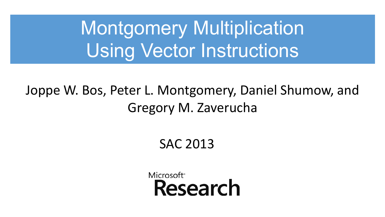Montgomery Multiplication Using Vector Instructions

Joppe W. Bos, Peter L. Montgomery, Daniel Shumow, and Gregory M. Zaverucha

SAC 2013

Microsoft<sup>®</sup> Research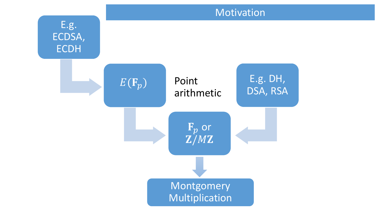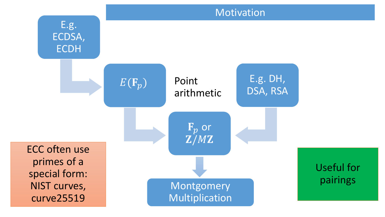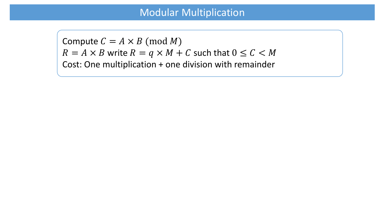#### Modular Multiplication

Compute  $C = A \times B \pmod{M}$  $R = A \times B$  write  $R = q \times M + C$  such that  $0 \le C \le M$ Cost: One multiplication + one division with remainder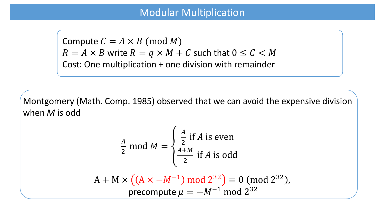#### Modular Multiplication

Compute  $C = A \times B \pmod{M}$  $R = A \times B$  write  $R = q \times M + C$  such that  $0 \le C \le M$ Cost: One multiplication + one division with remainder

Montgomery (Math. Comp. 1985) observed that we can avoid the expensive division when *M* is odd

$$
\frac{A}{2} \text{ mod } M = \begin{cases} \frac{A}{2} \text{ if } A \text{ is even} \\ \frac{A+M}{2} \text{ if } A \text{ is odd} \end{cases}
$$

$$
A + M \times ((A \times -M^{-1}) \mod 2^{32}) \equiv 0 \pmod{2^{32}},
$$
  
precompute  $\mu = -M^{-1} \mod 2^{32}$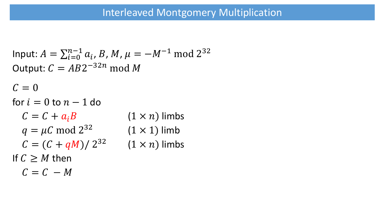```
Input: A = \sum_{i=0}^{n-1} a_i, B, M, \mu = -M^{-1} \text{ mod } 2^{32}Output: C = AB2^{-32n} \text{ mod } MC = 0for i = 0 to n - 1 do
  C = C + a_i B (1 × n) limbs
  q = \mu C \text{ mod } 2^{32}(1 \times 1) limb
  C = (C + qM)/2^{32}(1 \times n) limbs
If C \geq M then
  C = C - M
```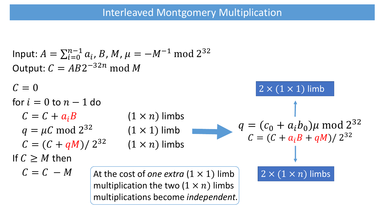```
Input: A = \sum_{i=0}^{n-1} a_i, B, M, \mu = -M^{-1} \text{ mod } 2^{32}Output: C = AB2^{-32n} \text{ mod } MC = 0for i = 0 to n - 1 do
  C = C + a_i B (1 × n) limbs
  q = \mu C \text{ mod } 2^{32}(1 \times 1) limb
  C = (C + qM)/2^{32}(1 \times n) limbs
If C \geq M then
  C = C - Mq = (c_0 + a_i b_0)\mu \text{ mod } 2^{32}C = (C + a_i B + qM)/2^{32}2 \times (1 \times 1) limb
                      At the cost of one extra (1 × 1) limb 2 × (1 × ) limbs
                      multiplication the two (1 \times n) limbs
                      multiplications become independent.
```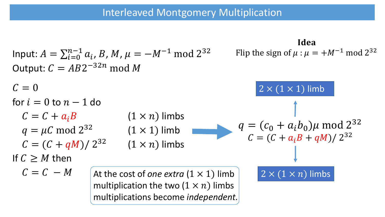| Input: $A = \sum_{i=0}^{n-1} a_i, B, M, \mu = -M^{-1} \mod 2^{32}$ | Ideal                                 |                                                              |                                       |
|--------------------------------------------------------------------|---------------------------------------|--------------------------------------------------------------|---------------------------------------|
| Output: $C = AB2^{-32n} \mod M$                                    | Figure 1.11                           |                                                              |                                       |
| $C = 0$                                                            | $2 \times (1 \times 1) \text{ limb}$  |                                                              |                                       |
| $C = C + a_i B$                                                    | $(1 \times n) \text{ limb}$           | $q = (c_0 + a_i b_0) \mu \mod 2^{32}$                        |                                       |
| $q = \mu C \mod 2^{32}$                                            | $(1 \times 1) \text{ limb}$           | $q = (c_0 + a_i b_0) \mu \mod 2^{32}$                        |                                       |
| $C = (C + qM)/2^{32}$                                              | $(1 \times n) \text{ limbs}$          | $q = (C + a_i B + qM)/2^{32}$                                |                                       |
| If $C \geq M$ then                                                 | $C = C - M$                           | $\text{At the cost of one extra } (1 \times 1) \text{ limb}$ | $2 \times (1 \times n) \text{ limbs}$ |
| multiplications the two $(1 \times n)$ limits                      | $2 \times (1 \times n) \text{ limbs}$ |                                                              |                                       |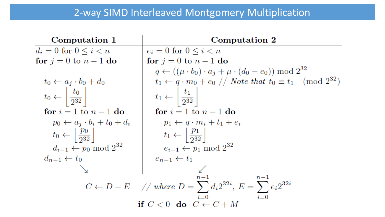# 2-way SIMD Interleaved Montgomery Multiplication

| Computation 1                                      | Computation 2                                                                                                  |
|----------------------------------------------------|----------------------------------------------------------------------------------------------------------------|
| $d_i = 0$ for $0 \leq i < n$                       | $e_i = 0$ for $0 \leq i \leq n$                                                                                |
| for $j=0$ to $n-1$ do                              | for $j=0$ to $n-1$ do                                                                                          |
|                                                    | $q \leftarrow ((\mu \cdot b_0) \cdot a_j + \mu \cdot (d_0 - e_0)) \bmod 2^{32}$                                |
| $t_0 \leftarrow a_j \cdot b_0 + d_0$               | $t_1 \leftarrow q \cdot m_0 + e_0 \text{ // Note that } t_0 \equiv t_1 \pmod{2^{32}}$                          |
| $t_0 \leftarrow \left  \frac{t_0}{2^{32}} \right $ | $t_1 \leftarrow \left  \frac{t_1}{2^{32}} \right $                                                             |
| for $i = 1$ to $n - 1$ do                          | for $i=1$ to $n-1$ do                                                                                          |
| $p_0 \leftarrow a_i \cdot b_i + t_0 + d_i$         | $p_1 \leftarrow q \cdot m_i + t_1 + e_i$                                                                       |
| $t_0 \leftarrow \left  \frac{p_0}{2^{32}} \right $ | $t_1 \leftarrow \left\lfloor \frac{p_1}{2^{32}} \right\rfloor$                                                 |
| $d_{i-1} \leftarrow p_0 \mod 2^{32}$               | $e_{i-1} \leftarrow p_1 \mod 2^{32}$                                                                           |
| $d_{n-1} \leftarrow t_0$                           | $e_{n-1} \leftarrow t_1$                                                                                       |
|                                                    |                                                                                                                |
|                                                    | $n-1$<br>$C \leftarrow D - E$ // where $D = \sum_{i=1}^{n-1} d_i 2^{32i}$ , $E = \sum_{i=1}^{n-1} e_i 2^{32i}$ |
|                                                    | $i=0$<br>if $C < 0$ do $C \leftarrow C + M$                                                                    |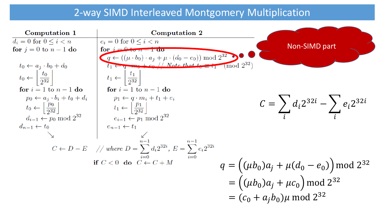# 2-way SIMD Interleaved Montgomery Multiplication

| Computation 1                                      | Computation 2                                                                                                                               |                                                   |
|----------------------------------------------------|---------------------------------------------------------------------------------------------------------------------------------------------|---------------------------------------------------|
| $d_i = 0$ for $0 \leq i \leq n$                    | $e_i = 0$ for $0 \leq i \leq n$                                                                                                             |                                                   |
| for $j=0$ to $n-1$ do                              | for $i = 0$ to $u = 1$ ao                                                                                                                   | Non-SIMD part                                     |
|                                                    | $q \leftarrow ((\mu \cdot b_0) \cdot a_j + \mu \cdot (d_0 - e_0)) \bmod 2^{32}$                                                             |                                                   |
| $t_0 \leftarrow a_i \cdot b_0 + d_0$               | $t_1 \leftarrow q$ m <sub>0</sub> $+e_0$ // Note that $t_0 = t_1 \pmod{2^{32}}$                                                             |                                                   |
| $t_0 \leftarrow \left  \frac{t_0}{2^{32}} \right $ | $\frac{t_1}{2^{32}}$<br>$t_1 \leftarrow$                                                                                                    |                                                   |
| for $i=1$ to $n-1$ do                              | for $i=1$ to $n-1$ do                                                                                                                       |                                                   |
| $p_0 \leftarrow a_i \cdot b_i + t_0 + d_i$         | $p_1 \leftarrow q \cdot m_i + t_1 + e_i$                                                                                                    |                                                   |
| $t_0 \leftarrow \left  \frac{p_0}{2^{32}} \right $ | $t_1 \leftarrow \left  \frac{p_1}{2^{32}} \right $                                                                                          | $C = \sum d_i 2^{32i} - \sum e_i 2^{32i}$         |
| $d_{i-1} \leftarrow p_0 \mod 2^{32}$               | $e_{i-1} \leftarrow p_1 \mod 2^{32}$                                                                                                        |                                                   |
| $d_{n-1} \leftarrow t_0$                           | $e_{n-1} \leftarrow t_1$                                                                                                                    |                                                   |
|                                                    |                                                                                                                                             |                                                   |
|                                                    |                                                                                                                                             |                                                   |
|                                                    | $C \leftarrow D - E$ // where $D = \sum_{i=0}^{n-1} d_i 2^{32i}$ , $E = \sum_{i=0}^{n-1} e_i 2^{32i}$<br>if $C < 0$ do $C \leftarrow C + M$ |                                                   |
|                                                    |                                                                                                                                             |                                                   |
|                                                    |                                                                                                                                             | $q = ((\mu b_0)a_j + \mu(d_0 - e_0)) \mod 2^{32}$ |
|                                                    |                                                                                                                                             | $= ((\mu b_0)a_j + \mu c_0)$ mod 2 <sup>32</sup>  |
|                                                    |                                                                                                                                             |                                                   |
|                                                    |                                                                                                                                             | $=(c_0 + a_j b_0)\mu$ mod 2 <sup>32</sup>         |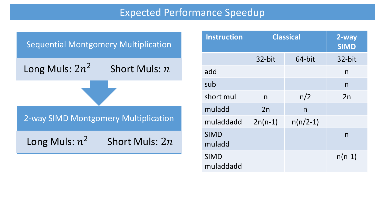### Expected Performance Speedup



| <b>Instruction</b>       | <b>Classical</b> | 2-way<br><b>SIMD</b> |          |
|--------------------------|------------------|----------------------|----------|
|                          | 32-bit           | 64-bit               | 32-bit   |
| add                      |                  |                      | n        |
| sub                      |                  |                      | n        |
| short mul                | n                | n/2                  | 2n       |
| muladd                   | 2n               | n                    |          |
| muladdadd                | $2n(n-1)$        | $n(n/2-1)$           |          |
| <b>SIMD</b><br>muladd    |                  |                      | n        |
| <b>SIMD</b><br>muladdadd |                  |                      | $n(n-1)$ |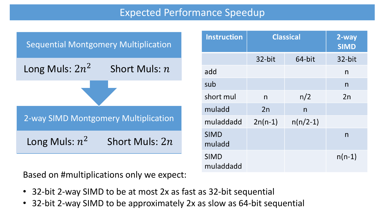## Expected Performance Speedup



| <b>Instruction</b>       | <b>Classical</b> | 2-way<br><b>SIMD</b> |          |
|--------------------------|------------------|----------------------|----------|
|                          | 32-bit           | 64-bit               | 32-bit   |
| add                      |                  |                      | n        |
| sub                      |                  |                      | n        |
| short mul                | n                | n/2                  | 2n       |
| muladd                   | 2n               | n                    |          |
| muladdadd                | $2n(n-1)$        | $n(n/2-1)$           |          |
| <b>SIMD</b><br>muladd    |                  |                      | n        |
| <b>SIMD</b><br>muladdadd |                  |                      | $n(n-1)$ |

Based on #multiplications only we expect:

- 32-bit 2-way SIMD to be at most 2x as fast as 32-bit sequential
- 32-bit 2-way SIMD to be approximately 2x as slow as 64-bit sequential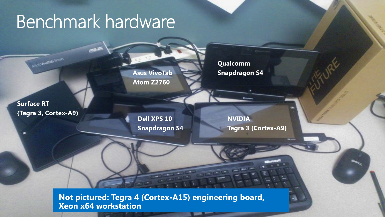# Benchmark hardware

**Asus VivoTab Atom Z2760** 

Qualcomm **Snapdragon S4** 

**Surface RT** (Tegra 3, Cortex-A9)

**ISLYMONS** 

Dell XPS 10 **Snapdragon S4** 

**NVIDIA** Tegra 3 (Cortex-A9)

Not pictured: Tegra 4 (Cortex-A15) engineering board, **Xeon x64 workstation**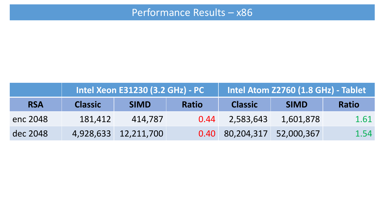|            | Intel Xeon E31230 (3.2 GHz) - PC |                      |              |                            | Intel Atom Z2760 (1.8 GHz) - Tablet |              |
|------------|----------------------------------|----------------------|--------------|----------------------------|-------------------------------------|--------------|
| <b>RSA</b> | <b>Classic</b>                   | <b>SIMD</b>          | <b>Ratio</b> | <b>Classic</b>             | <b>SIMD</b>                         | <b>Ratio</b> |
| enc 2048   | 181,412                          | 414.787              | 0.44         | 2,583,643                  | 1,601,878                           | 1.61         |
| dec 2048   |                                  | 4,928,633 12,211,700 |              | 0.40 80,204,317 52,000,367 |                                     | 1.54         |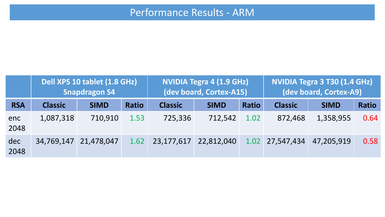|             | Dell XPS 10 tablet (1.8 GHz)<br><b>Snapdragon S4</b> |                       |              | <b>NVIDIA Tegra 4 (1.9 GHz)</b><br>(dev board, Cortex-A15) |             |              | NVIDIA Tegra 3 T30 (1.4 GHz)<br>(dev board, Cortex-A9) |             |              |
|-------------|------------------------------------------------------|-----------------------|--------------|------------------------------------------------------------|-------------|--------------|--------------------------------------------------------|-------------|--------------|
| <b>RSA</b>  | <b>Classic</b>                                       | <b>SIMD</b>           | <b>Ratio</b> | <b>Classic</b>                                             | <b>SIMD</b> | <b>Ratio</b> | <b>Classic</b>                                         | <b>SIMD</b> | <b>Ratio</b> |
| enc<br>2048 | 1,087,318                                            | 710,910               | 1.53         | 725,336                                                    | 712,542     | 1.02         | 872,468                                                | 1,358,955   | 0.64         |
| dec<br>2048 |                                                      | 34,769,147 21,478,047 | 1.62         | 23,177,617                                                 | 22,812,040  |              | $1.02$ 27,547,434                                      | 47,205,919  | 0.58         |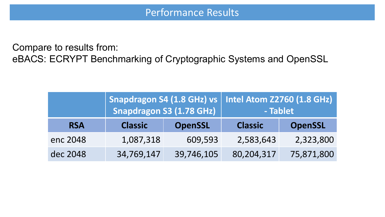Compare to results from: eBACS: ECRYPT Benchmarking of Cryptographic Systems and OpenSSL

|            |                | <b>Snapdragon S3 (1.78 GHz)</b> | Snapdragon S4 (1.8 GHz) vs   Intel Atom Z2760 (1.8 GHz)<br>- Tablet |                |
|------------|----------------|---------------------------------|---------------------------------------------------------------------|----------------|
| <b>RSA</b> | <b>Classic</b> | <b>OpenSSL</b>                  | <b>Classic</b>                                                      | <b>OpenSSL</b> |
| enc 2048   | 1,087,318      | 609,593                         | 2,583,643                                                           | 2,323,800      |
| dec 2048   | 34,769,147     | 39,746,105                      | 80,204,317                                                          | 75,871,800     |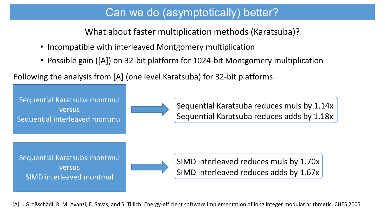## Can we do (asymptotically) better?

What about faster multiplication methods (Karatsuba)?

- Incompatible with interleaved Montgomery multiplication
- Possible gain ([A]) on 32-bit platform for 1024-bit Montgomery multiplication

Following the analysis from [A] (one level Karatsuba) for 32-bit platforms

Sequential Karatsuba montmul versus Sequential interleaved montmul



Sequential Karatsuba reduces muls by 1.14x Sequential Karatsuba reduces adds by 1.18x

Sequential Karatsuba montmul versus SIMD interleaved montmul



SIMD interleaved reduces muls by 1.70x SIMD interleaved reduces adds by 1.67x

[A] J. Großschädl, R. M. Avanzi, E. Savas, and S. Tillich. Energy-efficient software implementation of long integer modular arithmetic. CHES 2005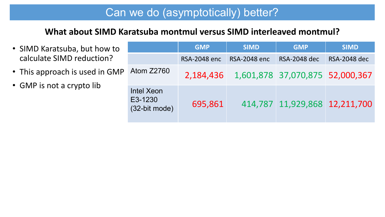# Can we do (asymptotically) better?

#### **What about SIMD Karatsuba montmul versus SIMD interleaved montmul?**

- SIMD Karatsuba, but how to calculate SIMD reduction?
- This approach is used in GMP
- GMP is not a crypto lib

|                                        | <b>GMP</b>          | <b>SIMD</b>         | <b>GMP</b>                      | <b>SIMD</b>           |
|----------------------------------------|---------------------|---------------------|---------------------------------|-----------------------|
|                                        | <b>RSA-2048 enc</b> | <b>RSA-2048 enc</b> | <b>RSA-2048 dec</b>             | <b>RSA-2048 dec</b>   |
| <b>Atom Z2760</b>                      | 2,184,436           |                     | 1,601,878 37,070,875 52,000,367 |                       |
| Intel Xeon<br>E3-1230<br>(32-bit mode) | 695,861             | 414,787             |                                 | 11,929,868 12,211,700 |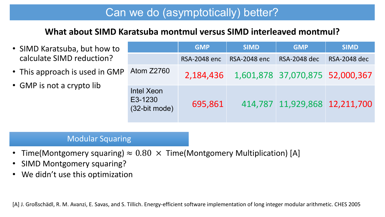# Can we do (asymptotically) better?

#### **What about SIMD Karatsuba montmul versus SIMD interleaved montmul?**

- SIMD Karatsuba, but how to calculate SIMD reduction?
- This approach is used in GM
- GMP is not a crypto lib

|    |                                        | <b>GMP</b>          | <b>SIMD</b>         | <b>GMP</b>                      | <b>SIMD</b>         |
|----|----------------------------------------|---------------------|---------------------|---------------------------------|---------------------|
|    |                                        | <b>RSA-2048 enc</b> | <b>RSA-2048 enc</b> | <b>RSA-2048 dec</b>             | <b>RSA-2048 dec</b> |
| 1P | Atom Z2760                             | 2,184,436           |                     | 1,601,878 37,070,875 52,000,367 |                     |
|    | Intel Xeon<br>E3-1230<br>(32-bit mode) | 695,861             |                     | 414,787 11,929,868 12,211,700   |                     |

#### Modular Squaring

- Time(Montgomery squaring)  $\approx 0.80 \times$  Time(Montgomery Multiplication) [A]
- SIMD Montgomery squaring?
- We didn't use this optimization